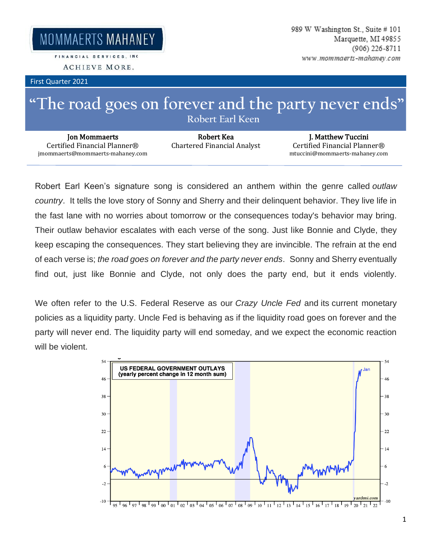MOMMAERTS MAHANEY

FINANCIAL SERVICES, INC.

ACHIEVE MORE.

First Quarter 2021

## **"The road goes on forever and the party never ends" Robert Earl Keen**

Jon Mommaerts Certified Financial Planner® jmommaerts@mommaerts-mahaney.com

Robert Kea Chartered Financial Analyst

J. Matthew Tuccini Certified Financial Planner® mtuccini@mommaerts-mahaney.com

Robert Earl Keen's signature song is considered an anthem within the genre called *outlaw country*. It tells the love story of Sonny and Sherry and their delinquent behavior. They live life in the fast lane with no worries about tomorrow or the consequences today's behavior may bring. Their outlaw behavior escalates with each verse of the song. Just like Bonnie and Clyde, they keep escaping the consequences. They start believing they are invincible. The refrain at the end of each verse is; *the road goes on forever and the party never ends*. Sonny and Sherry eventually find out, just like Bonnie and Clyde, not only does the party end, but it ends violently.

We often refer to the U.S. Federal Reserve as our *Crazy Uncle Fed* and its current monetary policies as a liquidity party. Uncle Fed is behaving as if the liquidity road goes on forever and the party will never end. The liquidity party will end someday, and we expect the economic reaction will be violent.

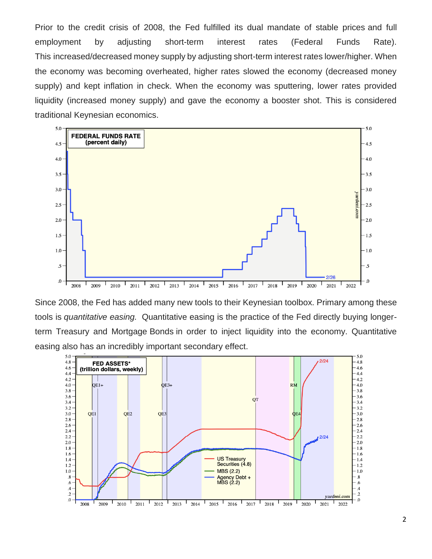Prior to the credit crisis of 2008, the Fed fulfilled its dual mandate of stable prices and full employment by adjusting short-term interest rates (Federal Funds Rate). This increased/decreased money supply by adjusting short-term interest rates lower/higher. When the economy was becoming overheated, higher rates slowed the economy (decreased money supply) and kept inflation in check. When the economy was sputtering, lower rates provided liquidity (increased money supply) and gave the economy a booster shot. This is considered traditional Keynesian economics.



Since 2008, the Fed has added many new tools to their Keynesian toolbox. Primary among these tools is *quantitative easing.* Quantitative easing is the practice of the Fed directly buying longerterm Treasury and Mortgage Bonds in order to inject liquidity into the economy. Quantitative easing also has an incredibly important secondary effect.

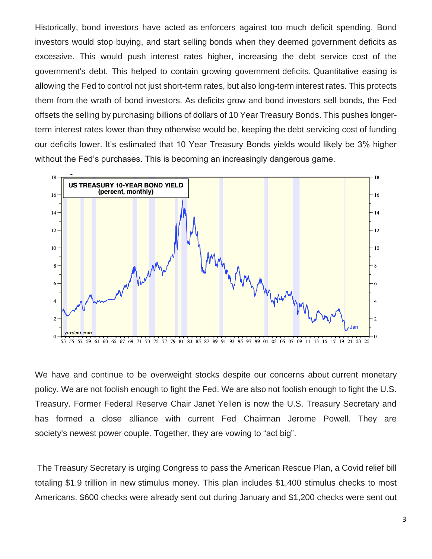Historically, bond investors have acted as enforcers against too much deficit spending. Bond investors would stop buying, and start selling bonds when they deemed government deficits as excessive. This would push interest rates higher, increasing the debt service cost of the government's debt. This helped to contain growing government deficits. Quantitative easing is allowing the Fed to control not just short-term rates, but also long-term interest rates. This protects them from the wrath of bond investors. As deficits grow and bond investors sell bonds, the Fed offsets the selling by purchasing billions of dollars of 10 Year Treasury Bonds. This pushes longerterm interest rates lower than they otherwise would be, keeping the debt servicing cost of funding our deficits lower. It's estimated that 10 Year Treasury Bonds yields would likely be 3% higher without the Fed's purchases. This is becoming an increasingly dangerous game.



We have and continue to be overweight stocks despite our concerns about current monetary policy. We are not foolish enough to fight the Fed. We are also not foolish enough to fight the U.S. Treasury. Former Federal Reserve Chair Janet Yellen is now the U.S. Treasury Secretary and has formed a close alliance with current Fed Chairman Jerome Powell. They are society's newest power couple. Together, they are vowing to "act big".

The Treasury Secretary is urging Congress to pass the American Rescue Plan, a Covid relief bill totaling \$1.9 trillion in new stimulus money. This plan includes \$1,400 stimulus checks to most Americans. \$600 checks were already sent out during January and \$1,200 checks were sent out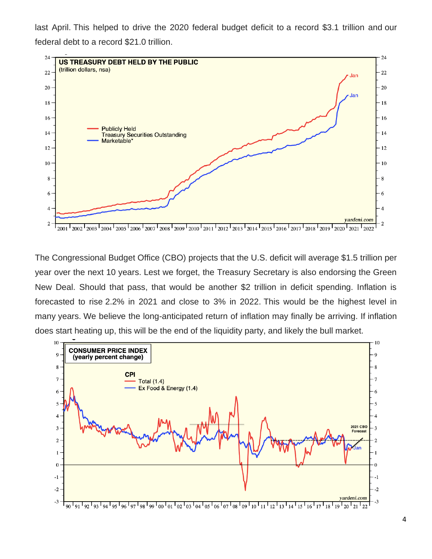last April. This helped to drive the 2020 federal budget deficit to a record \$3.1 trillion and our federal debt to a record \$21.0 trillion.



The Congressional Budget Office (CBO) projects that the U.S. deficit will average \$1.5 trillion per year over the next 10 years. Lest we forget, the Treasury Secretary is also endorsing the Green New Deal. Should that pass, that would be another \$2 trillion in deficit spending. Inflation is forecasted to rise 2.2% in 2021 and close to 3% in 2022. This would be the highest level in many years. We believe the long-anticipated return of inflation may finally be arriving. If inflation does start heating up, this will be the end of the liquidity party, and likely the bull market.

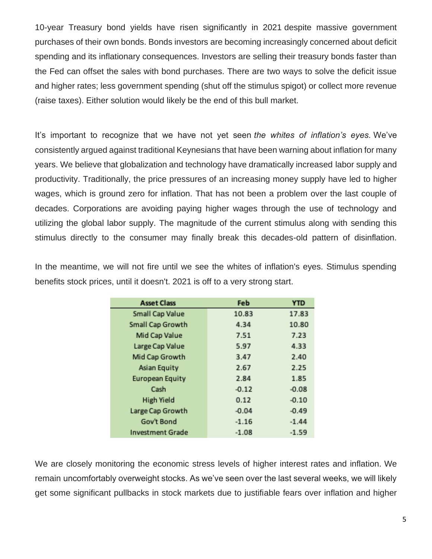10-year Treasury bond yields have risen significantly in 2021 despite massive government purchases of their own bonds. Bonds investors are becoming increasingly concerned about deficit spending and its inflationary consequences. Investors are selling their treasury bonds faster than the Fed can offset the sales with bond purchases. There are two ways to solve the deficit issue and higher rates; less government spending (shut off the stimulus spigot) or collect more revenue (raise taxes). Either solution would likely be the end of this bull market.

It's important to recognize that we have not yet seen *the whites of inflation's eyes.* We've consistently argued against traditional Keynesians that have been warning about inflation for many years. We believe that globalization and technology have dramatically increased labor supply and productivity. Traditionally, the price pressures of an increasing money supply have led to higher wages, which is ground zero for inflation. That has not been a problem over the last couple of decades. Corporations are avoiding paying higher wages through the use of technology and utilizing the global labor supply. The magnitude of the current stimulus along with sending this stimulus directly to the consumer may finally break this decades-old pattern of disinflation.

In the meantime, we will not fire until we see the whites of inflation's eyes. Stimulus spending benefits stock prices, until it doesn't. 2021 is off to a very strong start.

| <b>Asset Class</b>      | Feb     | <b>YTD</b> |
|-------------------------|---------|------------|
| Small Cap Value         | 10.83   | 17.83      |
| Small Cap Growth        | 4.34    | 10.80      |
| Mid Cap Value           | 7.51    | 7.23       |
| Large Cap Value         | 5.97    | 4.33       |
| Mid Cap Growth          | 3.47    | 2.40       |
| Asian Equity            | 2.67    | 2.25       |
| <b>European Equity</b>  | 2.84    | 1.85       |
| Cash                    | $-0.12$ | $-0.08$    |
| High Yield              | 0.12    | $-0.10$    |
| Large Cap Growth        | $-0.04$ | $-0.49$    |
| Gov't Bond              | $-1.16$ | $-1.44$    |
| <b>Investment Grade</b> | $-1.08$ | $-1.59$    |

We are closely monitoring the economic stress levels of higher interest rates and inflation. We remain uncomfortably overweight stocks. As we've seen over the last several weeks, we will likely get some significant pullbacks in stock markets due to justifiable fears over inflation and higher